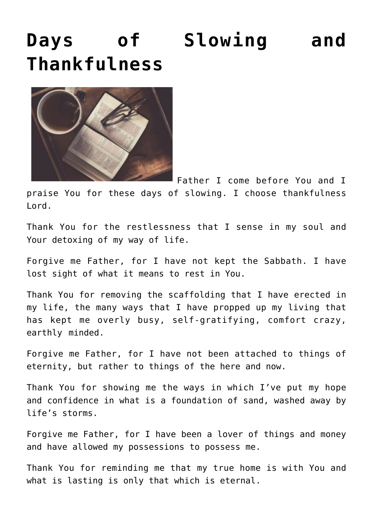## **[Days of Slowing and](https://www.prayerleader.com/days-of-slowing-and-thankfulness/) [Thankfulness](https://www.prayerleader.com/days-of-slowing-and-thankfulness/)**



Father I come before You and I

praise You for these days of slowing. I choose thankfulness Lord.

Thank You for the restlessness that I sense in my soul and Your detoxing of my way of life.

Forgive me Father, for I have not kept the Sabbath. I have lost sight of what it means to rest in You.

Thank You for removing the scaffolding that I have erected in my life, the many ways that I have propped up my living that has kept me overly busy, self-gratifying, comfort crazy, earthly minded.

Forgive me Father, for I have not been attached to things of eternity, but rather to things of the here and now.

Thank You for showing me the ways in which I've put my hope and confidence in what is a foundation of sand, washed away by life's storms.

Forgive me Father, for I have been a lover of things and money and have allowed my possessions to possess me.

Thank You for reminding me that my true home is with You and what is lasting is only that which is eternal.